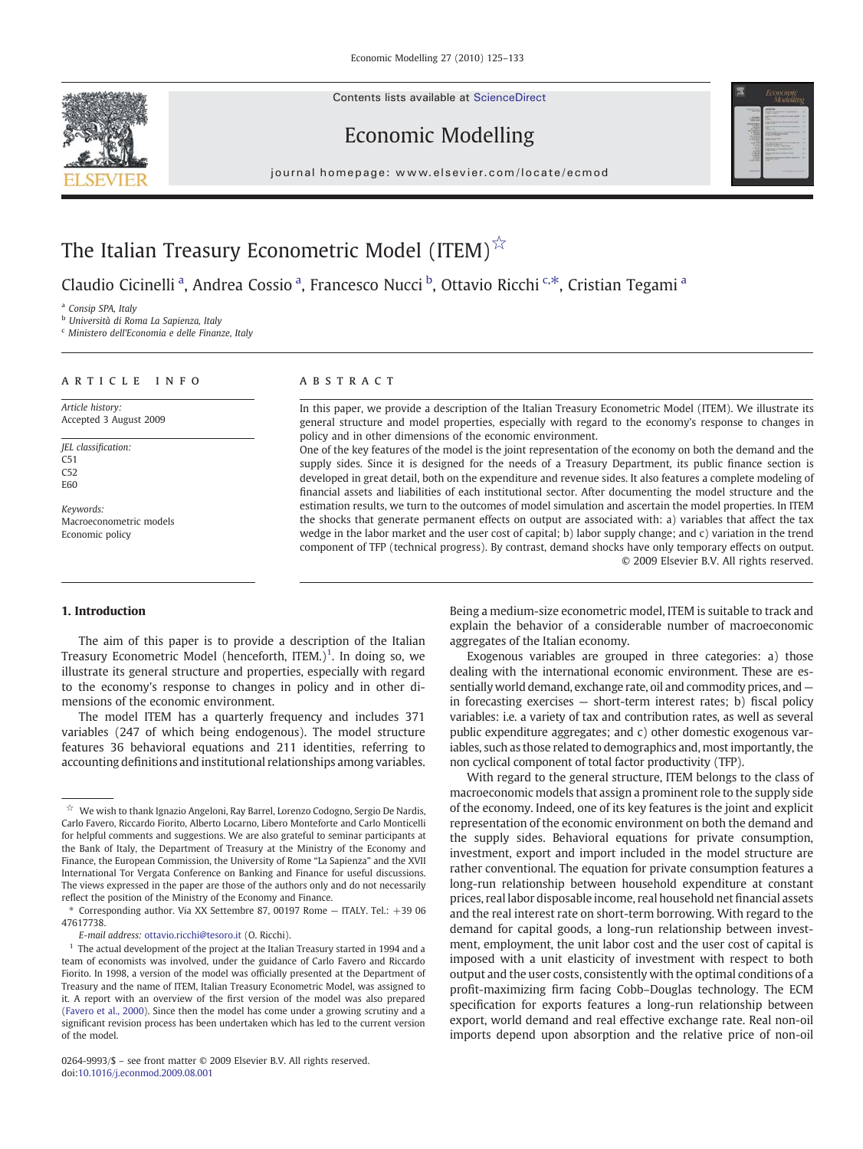Contents lists available at [ScienceDirect](http://www.sciencedirect.com/science/journal/02649993)





## Economic Modelling

journal homepage: www.elsevier.com/locate/ecmod

# The Italian Treasury Econometric Model (ITEM) $\overleftrightarrow{\ }$

Claudio Cicinelli<sup>a</sup>, Andrea Cossio<sup>a</sup>, Francesco Nucci<sup>b</sup>, Ottavio Ricchi<sup>c,\*</sup>, Cristian Tegami<sup>a</sup>

<sup>a</sup> Consip SPA, Italy

<sup>b</sup> Università di Roma La Sapienza, Italy

<sup>c</sup> Ministero dell'Economia e delle Finanze, Italy

#### article info abstract

Article history: Accepted 3 August 2009

JEL classification: C51  $C52$ E60

Keywords: Macroeconometric models Economic policy

### 1. Introduction

The aim of this paper is to provide a description of the Italian Treasury Econometric Model (henceforth, ITEM.)<sup>1</sup>. In doing so, we illustrate its general structure and properties, especially with regard to the economy's response to changes in policy and in other dimensions of the economic environment.

The model ITEM has a quarterly frequency and includes 371 variables (247 of which being endogenous). The model structure features 36 behavioral equations and 211 identities, referring to accounting definitions and institutional relationships among variables.

0264-9993/\$ – see front matter © 2009 Elsevier B.V. All rights reserved. doi:[10.1016/j.econmod.2009.08.001](http://dx.doi.org/10.1016/j.econmod.2009.08.001)

In this paper, we provide a description of the Italian Treasury Econometric Model (ITEM). We illustrate its general structure and model properties, especially with regard to the economy's response to changes in policy and in other dimensions of the economic environment.

One of the key features of the model is the joint representation of the economy on both the demand and the supply sides. Since it is designed for the needs of a Treasury Department, its public finance section is developed in great detail, both on the expenditure and revenue sides. It also features a complete modeling of financial assets and liabilities of each institutional sector. After documenting the model structure and the estimation results, we turn to the outcomes of model simulation and ascertain the model properties. In ITEM the shocks that generate permanent effects on output are associated with: a) variables that affect the tax wedge in the labor market and the user cost of capital; b) labor supply change; and c) variation in the trend component of TFP (technical progress). By contrast, demand shocks have only temporary effects on output. © 2009 Elsevier B.V. All rights reserved.

> Being a medium-size econometric model, ITEM is suitable to track and explain the behavior of a considerable number of macroeconomic aggregates of the Italian economy.

> Exogenous variables are grouped in three categories: a) those dealing with the international economic environment. These are essentially world demand, exchange rate, oil and commodity prices, and in forecasting exercises — short-term interest rates; b) fiscal policy variables: i.e. a variety of tax and contribution rates, as well as several public expenditure aggregates; and c) other domestic exogenous variables, such as those related to demographics and, most importantly, the non cyclical component of total factor productivity (TFP).

> With regard to the general structure, ITEM belongs to the class of macroeconomic models that assign a prominent role to the supply side of the economy. Indeed, one of its key features is the joint and explicit representation of the economic environment on both the demand and the supply sides. Behavioral equations for private consumption, investment, export and import included in the model structure are rather conventional. The equation for private consumption features a long-run relationship between household expenditure at constant prices, real labor disposable income, real household net financial assets and the real interest rate on short-term borrowing. With regard to the demand for capital goods, a long-run relationship between investment, employment, the unit labor cost and the user cost of capital is imposed with a unit elasticity of investment with respect to both output and the user costs, consistently with the optimal conditions of a profit-maximizing firm facing Cobb–Douglas technology. The ECM specification for exports features a long-run relationship between export, world demand and real effective exchange rate. Real non-oil imports depend upon absorption and the relative price of non-oil

 $^\star\!\!\!\!\!\times\;$  We wish to thank Ignazio Angeloni, Ray Barrel, Lorenzo Codogno, Sergio De Nardis, Carlo Favero, Riccardo Fiorito, Alberto Locarno, Libero Monteforte and Carlo Monticelli for helpful comments and suggestions. We are also grateful to seminar participants at the Bank of Italy, the Department of Treasury at the Ministry of the Economy and Finance, the European Commission, the University of Rome "La Sapienza" and the XVII International Tor Vergata Conference on Banking and Finance for useful discussions. The views expressed in the paper are those of the authors only and do not necessarily reflect the position of the Ministry of the Economy and Finance.

Corresponding author. Via XX Settembre 87, 00197 Rome - ITALY. Tel.: +39 06 47617738.

E-mail address: [ottavio.ricchi@tesoro.it](mailto:ottavio.ricchi@tesoro.it) (O. Ricchi).

 $1$  The actual development of the project at the Italian Treasury started in 1994 and a team of economists was involved, under the guidance of Carlo Favero and Riccardo Fiorito. In 1998, a version of the model was officially presented at the Department of Treasury and the name of ITEM, Italian Treasury Econometric Model, was assigned to it. A report with an overview of the first version of the model was also prepared [\(Favero et al., 2000](#page--1-0)). Since then the model has come under a growing scrutiny and a significant revision process has been undertaken which has led to the current version of the model.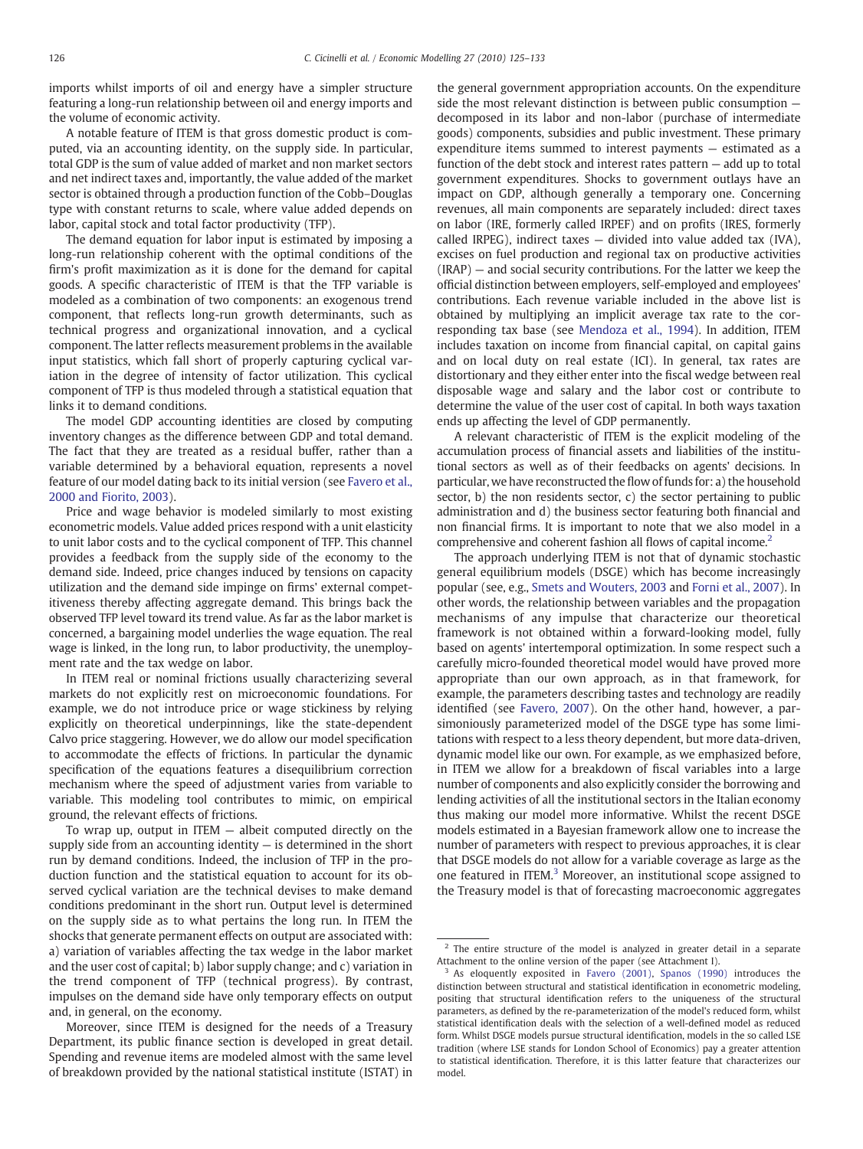imports whilst imports of oil and energy have a simpler structure featuring a long-run relationship between oil and energy imports and the volume of economic activity.

A notable feature of ITEM is that gross domestic product is computed, via an accounting identity, on the supply side. In particular, total GDP is the sum of value added of market and non market sectors and net indirect taxes and, importantly, the value added of the market sector is obtained through a production function of the Cobb–Douglas type with constant returns to scale, where value added depends on labor, capital stock and total factor productivity (TFP).

The demand equation for labor input is estimated by imposing a long-run relationship coherent with the optimal conditions of the firm's profit maximization as it is done for the demand for capital goods. A specific characteristic of ITEM is that the TFP variable is modeled as a combination of two components: an exogenous trend component, that reflects long-run growth determinants, such as technical progress and organizational innovation, and a cyclical component. The latter reflects measurement problems in the available input statistics, which fall short of properly capturing cyclical variation in the degree of intensity of factor utilization. This cyclical component of TFP is thus modeled through a statistical equation that links it to demand conditions.

The model GDP accounting identities are closed by computing inventory changes as the difference between GDP and total demand. The fact that they are treated as a residual buffer, rather than a variable determined by a behavioral equation, represents a novel feature of our model dating back to its initial version (see [Favero et al.,](#page--1-0) [2000 and Fiorito, 2003](#page--1-0)).

Price and wage behavior is modeled similarly to most existing econometric models. Value added prices respond with a unit elasticity to unit labor costs and to the cyclical component of TFP. This channel provides a feedback from the supply side of the economy to the demand side. Indeed, price changes induced by tensions on capacity utilization and the demand side impinge on firms' external competitiveness thereby affecting aggregate demand. This brings back the observed TFP level toward its trend value. As far as the labor market is concerned, a bargaining model underlies the wage equation. The real wage is linked, in the long run, to labor productivity, the unemployment rate and the tax wedge on labor.

In ITEM real or nominal frictions usually characterizing several markets do not explicitly rest on microeconomic foundations. For example, we do not introduce price or wage stickiness by relying explicitly on theoretical underpinnings, like the state-dependent Calvo price staggering. However, we do allow our model specification to accommodate the effects of frictions. In particular the dynamic specification of the equations features a disequilibrium correction mechanism where the speed of adjustment varies from variable to variable. This modeling tool contributes to mimic, on empirical ground, the relevant effects of frictions.

To wrap up, output in ITEM — albeit computed directly on the supply side from an accounting identity — is determined in the short run by demand conditions. Indeed, the inclusion of TFP in the production function and the statistical equation to account for its observed cyclical variation are the technical devises to make demand conditions predominant in the short run. Output level is determined on the supply side as to what pertains the long run. In ITEM the shocks that generate permanent effects on output are associated with: a) variation of variables affecting the tax wedge in the labor market and the user cost of capital; b) labor supply change; and c) variation in the trend component of TFP (technical progress). By contrast, impulses on the demand side have only temporary effects on output and, in general, on the economy.

Moreover, since ITEM is designed for the needs of a Treasury Department, its public finance section is developed in great detail. Spending and revenue items are modeled almost with the same level of breakdown provided by the national statistical institute (ISTAT) in the general government appropriation accounts. On the expenditure side the most relevant distinction is between public consumption decomposed in its labor and non-labor (purchase of intermediate goods) components, subsidies and public investment. These primary expenditure items summed to interest payments — estimated as a function of the debt stock and interest rates pattern — add up to total government expenditures. Shocks to government outlays have an impact on GDP, although generally a temporary one. Concerning revenues, all main components are separately included: direct taxes on labor (IRE, formerly called IRPEF) and on profits (IRES, formerly called IRPEG), indirect taxes  $-$  divided into value added tax (IVA), excises on fuel production and regional tax on productive activities (IRAP) — and social security contributions. For the latter we keep the official distinction between employers, self-employed and employees' contributions. Each revenue variable included in the above list is obtained by multiplying an implicit average tax rate to the corresponding tax base (see [Mendoza et al., 1994\)](#page--1-0). In addition, ITEM includes taxation on income from financial capital, on capital gains and on local duty on real estate (ICI). In general, tax rates are distortionary and they either enter into the fiscal wedge between real disposable wage and salary and the labor cost or contribute to determine the value of the user cost of capital. In both ways taxation ends up affecting the level of GDP permanently.

A relevant characteristic of ITEM is the explicit modeling of the accumulation process of financial assets and liabilities of the institutional sectors as well as of their feedbacks on agents' decisions. In particular, we have reconstructed the flow of funds for: a) the household sector, b) the non residents sector, c) the sector pertaining to public administration and d) the business sector featuring both financial and non financial firms. It is important to note that we also model in a comprehensive and coherent fashion all flows of capital income.<sup>2</sup>

The approach underlying ITEM is not that of dynamic stochastic general equilibrium models (DSGE) which has become increasingly popular (see, e.g., [Smets and Wouters, 2003](#page--1-0) and [Forni et al., 2007](#page--1-0)). In other words, the relationship between variables and the propagation mechanisms of any impulse that characterize our theoretical framework is not obtained within a forward-looking model, fully based on agents' intertemporal optimization. In some respect such a carefully micro-founded theoretical model would have proved more appropriate than our own approach, as in that framework, for example, the parameters describing tastes and technology are readily identified (see [Favero, 2007](#page--1-0)). On the other hand, however, a parsimoniously parameterized model of the DSGE type has some limitations with respect to a less theory dependent, but more data-driven, dynamic model like our own. For example, as we emphasized before, in ITEM we allow for a breakdown of fiscal variables into a large number of components and also explicitly consider the borrowing and lending activities of all the institutional sectors in the Italian economy thus making our model more informative. Whilst the recent DSGE models estimated in a Bayesian framework allow one to increase the number of parameters with respect to previous approaches, it is clear that DSGE models do not allow for a variable coverage as large as the one featured in ITEM.<sup>3</sup> Moreover, an institutional scope assigned to the Treasury model is that of forecasting macroeconomic aggregates

<sup>&</sup>lt;sup>2</sup> The entire structure of the model is analyzed in greater detail in a separate Attachment to the online version of the paper (see Attachment I).

<sup>3</sup> As eloquently exposited in [Favero \(2001\)](#page--1-0), [Spanos \(1990\)](#page--1-0) introduces the distinction between structural and statistical identification in econometric modeling, positing that structural identification refers to the uniqueness of the structural parameters, as defined by the re-parameterization of the model's reduced form, whilst statistical identification deals with the selection of a well-defined model as reduced form. Whilst DSGE models pursue structural identification, models in the so called LSE tradition (where LSE stands for London School of Economics) pay a greater attention to statistical identification. Therefore, it is this latter feature that characterizes our model.